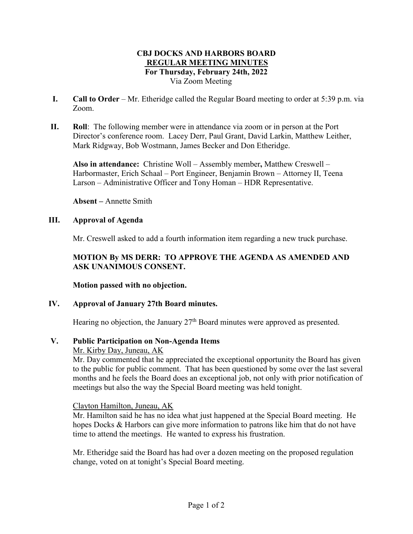## **CBJ DOCKS AND HARBORS BOARD REGULAR MEETING MINUTES For Thursday, February 24th, 2022** Via Zoom Meeting

- **I. Call to Order** Mr. Etheridge called the Regular Board meeting to order at 5:39 p.m. via Zoom.
- **II. Roll**: The following member were in attendance via zoom or in person at the Port Director's conference room. Lacey Derr, Paul Grant, David Larkin, Matthew Leither, Mark Ridgway, Bob Wostmann, James Becker and Don Etheridge.

**Also in attendance:** Christine Woll – Assembly member**,** Matthew Creswell – Harbormaster, Erich Schaal – Port Engineer, Benjamin Brown – Attorney II, Teena Larson – Administrative Officer and Tony Homan – HDR Representative.

**Absent –** Annette Smith

# **III. Approval of Agenda**

Mr. Creswell asked to add a fourth information item regarding a new truck purchase.

# **MOTION By MS DERR: TO APPROVE THE AGENDA AS AMENDED AND ASK UNANIMOUS CONSENT.**

**Motion passed with no objection.**

# **IV. Approval of January 27th Board minutes.**

Hearing no objection, the January  $27<sup>th</sup>$  Board minutes were approved as presented.

# **V. Public Participation on Non-Agenda Items**

## Mr. Kirby Day, Juneau, AK

Mr. Day commented that he appreciated the exceptional opportunity the Board has given to the public for public comment. That has been questioned by some over the last several months and he feels the Board does an exceptional job, not only with prior notification of meetings but also the way the Special Board meeting was held tonight.

## Clayton Hamilton, Juneau, AK

Mr. Hamilton said he has no idea what just happened at the Special Board meeting. He hopes Docks & Harbors can give more information to patrons like him that do not have time to attend the meetings. He wanted to express his frustration.

Mr. Etheridge said the Board has had over a dozen meeting on the proposed regulation change, voted on at tonight's Special Board meeting.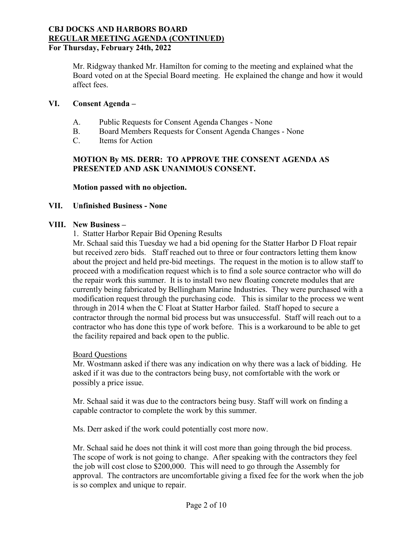Mr. Ridgway thanked Mr. Hamilton for coming to the meeting and explained what the Board voted on at the Special Board meeting. He explained the change and how it would affect fees.

## **VI. Consent Agenda –**

- A. Public Requests for Consent Agenda Changes None
- B. Board Members Requests for Consent Agenda Changes None
- C. Items for Action

# **MOTION By MS. DERR: TO APPROVE THE CONSENT AGENDA AS PRESENTED AND ASK UNANIMOUS CONSENT.**

**Motion passed with no objection.**

## **VII. Unfinished Business - None**

## **VIII. New Business –**

1. Statter Harbor Repair Bid Opening Results

Mr. Schaal said this Tuesday we had a bid opening for the Statter Harbor D Float repair but received zero bids. Staff reached out to three or four contractors letting them know about the project and held pre-bid meetings. The request in the motion is to allow staff to proceed with a modification request which is to find a sole source contractor who will do the repair work this summer. It is to install two new floating concrete modules that are currently being fabricated by Bellingham Marine Industries. They were purchased with a modification request through the purchasing code. This is similar to the process we went through in 2014 when the C Float at Statter Harbor failed. Staff hoped to secure a contractor through the normal bid process but was unsuccessful. Staff will reach out to a contractor who has done this type of work before. This is a workaround to be able to get the facility repaired and back open to the public.

## Board Questions

Mr. Wostmann asked if there was any indication on why there was a lack of bidding. He asked if it was due to the contractors being busy, not comfortable with the work or possibly a price issue.

Mr. Schaal said it was due to the contractors being busy. Staff will work on finding a capable contractor to complete the work by this summer.

Ms. Derr asked if the work could potentially cost more now.

Mr. Schaal said he does not think it will cost more than going through the bid process. The scope of work is not going to change. After speaking with the contractors they feel the job will cost close to \$200,000. This will need to go through the Assembly for approval. The contractors are uncomfortable giving a fixed fee for the work when the job is so complex and unique to repair.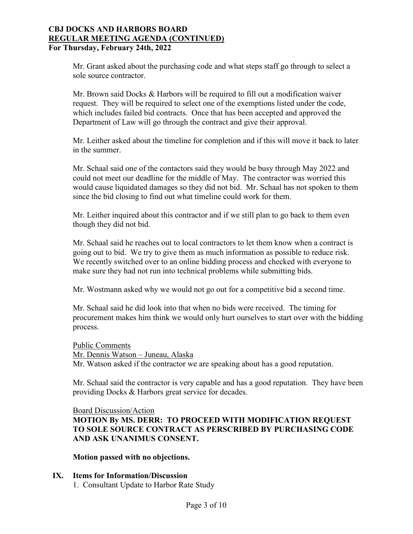Mr. Grant asked about the purchasing code and what steps staff go through to select a sole source contractor.

Mr. Brown said Docks & Harbors will be required to fill out a modification waiver request. They will be required to select one of the exemptions listed under the code, which includes failed bid contracts. Once that has been accepted and approved the Department of Law will go through the contract and give their approval.

Mr. Leither asked about the timeline for completion and if this will move it back to later in the summer.

Mr. Schaal said one of the contactors said they would be busy through May 2022 and could not meet our deadline for the middle of May. The contractor was worried this would cause liquidated damages so they did not bid. Mr. Schaal has not spoken to them since the bid closing to find out what timeline could work for them.

Mr. Leither inquired about this contractor and if we still plan to go back to them even though they did not bid.

Mr. Schaal said he reaches out to local contractors to let them know when a contract is going out to bid. We try to give them as much information as possible to reduce risk. We recently switched over to an online bidding process and checked with everyone to make sure they had not run into technical problems while submitting bids.

Mr. Wostmann asked why we would not go out for a competitive bid a second time.

Mr. Schaal said he did look into that when no bids were received. The timing for procurement makes him think we would only hurt ourselves to start over with the bidding process.

Public Comments Mr. Dennis Watson – Juneau, Alaska Mr. Watson asked if the contractor we are speaking about has a good reputation.

Mr. Schaal said the contractor is very capable and has a good reputation. They have been providing Docks & Harbors great service for decades.

Board Discussion/Action

**MOTION By MS. DERR: TO PROCEED WITH MODIFICATION REQUEST TO SOLE SOURCE CONTRACT AS PERSCRIBED BY PURCHASING CODE AND ASK UNANIMUS CONSENT.**

**Motion passed with no objections.**

## **IX. Items for Information/Discussion**

1. Consultant Update to Harbor Rate Study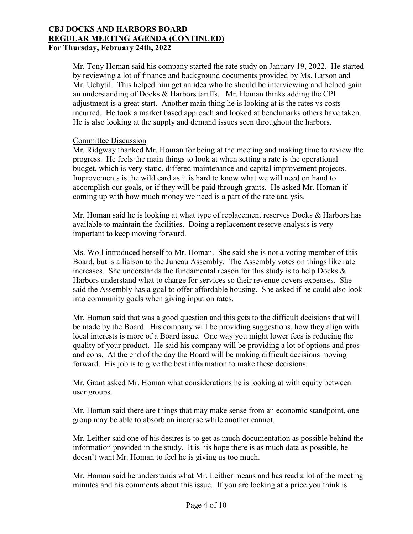Mr. Tony Homan said his company started the rate study on January 19, 2022. He started by reviewing a lot of finance and background documents provided by Ms. Larson and Mr. Uchytil. This helped him get an idea who he should be interviewing and helped gain an understanding of Docks & Harbors tariffs. Mr. Homan thinks adding the CPI adjustment is a great start. Another main thing he is looking at is the rates vs costs incurred. He took a market based approach and looked at benchmarks others have taken. He is also looking at the supply and demand issues seen throughout the harbors.

## Committee Discussion

Mr. Ridgway thanked Mr. Homan for being at the meeting and making time to review the progress. He feels the main things to look at when setting a rate is the operational budget, which is very static, differed maintenance and capital improvement projects. Improvements is the wild card as it is hard to know what we will need on hand to accomplish our goals, or if they will be paid through grants. He asked Mr. Homan if coming up with how much money we need is a part of the rate analysis.

Mr. Homan said he is looking at what type of replacement reserves Docks & Harbors has available to maintain the facilities. Doing a replacement reserve analysis is very important to keep moving forward.

Ms. Woll introduced herself to Mr. Homan. She said she is not a voting member of this Board, but is a liaison to the Juneau Assembly. The Assembly votes on things like rate increases. She understands the fundamental reason for this study is to help Docks  $\&$ Harbors understand what to charge for services so their revenue covers expenses. She said the Assembly has a goal to offer affordable housing. She asked if he could also look into community goals when giving input on rates.

Mr. Homan said that was a good question and this gets to the difficult decisions that will be made by the Board. His company will be providing suggestions, how they align with local interests is more of a Board issue. One way you might lower fees is reducing the quality of your product. He said his company will be providing a lot of options and pros and cons. At the end of the day the Board will be making difficult decisions moving forward. His job is to give the best information to make these decisions.

Mr. Grant asked Mr. Homan what considerations he is looking at with equity between user groups.

Mr. Homan said there are things that may make sense from an economic standpoint, one group may be able to absorb an increase while another cannot.

Mr. Leither said one of his desires is to get as much documentation as possible behind the information provided in the study. It is his hope there is as much data as possible, he doesn't want Mr. Homan to feel he is giving us too much.

Mr. Homan said he understands what Mr. Leither means and has read a lot of the meeting minutes and his comments about this issue. If you are looking at a price you think is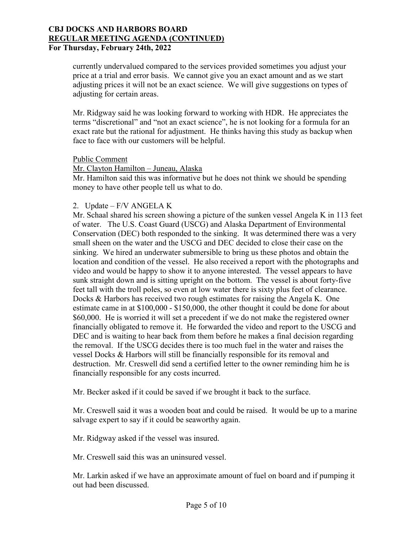currently undervalued compared to the services provided sometimes you adjust your price at a trial and error basis. We cannot give you an exact amount and as we start adjusting prices it will not be an exact science. We will give suggestions on types of adjusting for certain areas.

Mr. Ridgway said he was looking forward to working with HDR. He appreciates the terms "discretional" and "not an exact science", he is not looking for a formula for an exact rate but the rational for adjustment. He thinks having this study as backup when face to face with our customers will be helpful.

#### Public Comment

Mr. Clayton Hamilton – Juneau, Alaska Mr. Hamilton said this was informative but he does not think we should be spending money to have other people tell us what to do.

## 2. Update – F/V ANGELA K

Mr. Schaal shared his screen showing a picture of the sunken vessel Angela K in 113 feet of water. The U.S. Coast Guard (USCG) and Alaska Department of Environmental Conservation (DEC) both responded to the sinking. It was determined there was a very small sheen on the water and the USCG and DEC decided to close their case on the sinking. We hired an underwater submersible to bring us these photos and obtain the location and condition of the vessel. He also received a report with the photographs and video and would be happy to show it to anyone interested. The vessel appears to have sunk straight down and is sitting upright on the bottom. The vessel is about forty-five feet tall with the troll poles, so even at low water there is sixty plus feet of clearance. Docks & Harbors has received two rough estimates for raising the Angela K. One estimate came in at \$100,000 - \$150,000, the other thought it could be done for about \$60,000. He is worried it will set a precedent if we do not make the registered owner financially obligated to remove it. He forwarded the video and report to the USCG and DEC and is waiting to hear back from them before he makes a final decision regarding the removal. If the USCG decides there is too much fuel in the water and raises the vessel Docks & Harbors will still be financially responsible for its removal and destruction. Mr. Creswell did send a certified letter to the owner reminding him he is financially responsible for any costs incurred.

Mr. Becker asked if it could be saved if we brought it back to the surface.

Mr. Creswell said it was a wooden boat and could be raised. It would be up to a marine salvage expert to say if it could be seaworthy again.

Mr. Ridgway asked if the vessel was insured.

Mr. Creswell said this was an uninsured vessel.

Mr. Larkin asked if we have an approximate amount of fuel on board and if pumping it out had been discussed.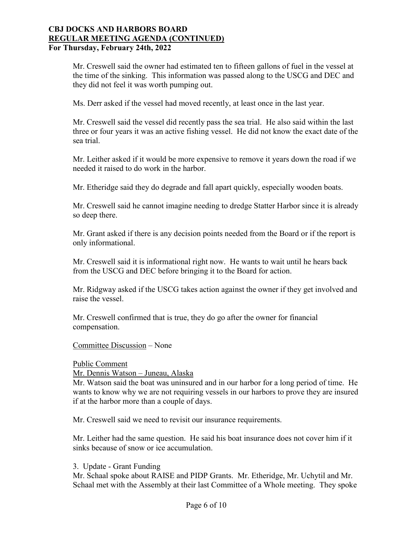Mr. Creswell said the owner had estimated ten to fifteen gallons of fuel in the vessel at the time of the sinking. This information was passed along to the USCG and DEC and they did not feel it was worth pumping out.

Ms. Derr asked if the vessel had moved recently, at least once in the last year.

Mr. Creswell said the vessel did recently pass the sea trial. He also said within the last three or four years it was an active fishing vessel. He did not know the exact date of the sea trial.

Mr. Leither asked if it would be more expensive to remove it years down the road if we needed it raised to do work in the harbor.

Mr. Etheridge said they do degrade and fall apart quickly, especially wooden boats.

Mr. Creswell said he cannot imagine needing to dredge Statter Harbor since it is already so deep there.

Mr. Grant asked if there is any decision points needed from the Board or if the report is only informational.

Mr. Creswell said it is informational right now. He wants to wait until he hears back from the USCG and DEC before bringing it to the Board for action.

Mr. Ridgway asked if the USCG takes action against the owner if they get involved and raise the vessel.

Mr. Creswell confirmed that is true, they do go after the owner for financial compensation.

Committee Discussion – None

Public Comment

Mr. Dennis Watson – Juneau, Alaska

Mr. Watson said the boat was uninsured and in our harbor for a long period of time. He wants to know why we are not requiring vessels in our harbors to prove they are insured if at the harbor more than a couple of days.

Mr. Creswell said we need to revisit our insurance requirements.

Mr. Leither had the same question. He said his boat insurance does not cover him if it sinks because of snow or ice accumulation.

3. Update - Grant Funding

Mr. Schaal spoke about RAISE and PIDP Grants. Mr. Etheridge, Mr. Uchytil and Mr. Schaal met with the Assembly at their last Committee of a Whole meeting. They spoke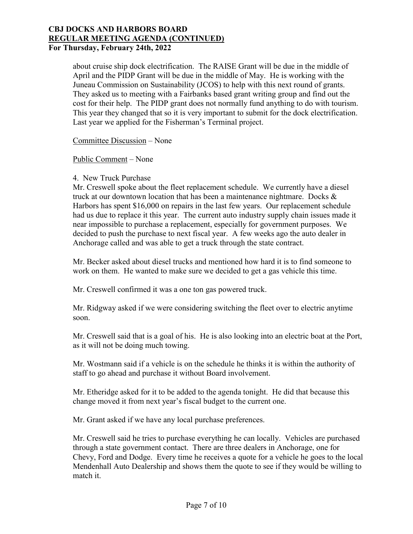about cruise ship dock electrification. The RAISE Grant will be due in the middle of April and the PIDP Grant will be due in the middle of May. He is working with the Juneau Commission on Sustainability (JCOS) to help with this next round of grants. They asked us to meeting with a Fairbanks based grant writing group and find out the cost for their help. The PIDP grant does not normally fund anything to do with tourism. This year they changed that so it is very important to submit for the dock electrification. Last year we applied for the Fisherman's Terminal project.

Committee Discussion – None

Public Comment – None

#### 4. New Truck Purchase

Mr. Creswell spoke about the fleet replacement schedule. We currently have a diesel truck at our downtown location that has been a maintenance nightmare. Docks  $\&$ Harbors has spent \$16,000 on repairs in the last few years. Our replacement schedule had us due to replace it this year. The current auto industry supply chain issues made it near impossible to purchase a replacement, especially for government purposes. We decided to push the purchase to next fiscal year. A few weeks ago the auto dealer in Anchorage called and was able to get a truck through the state contract.

Mr. Becker asked about diesel trucks and mentioned how hard it is to find someone to work on them. He wanted to make sure we decided to get a gas vehicle this time.

Mr. Creswell confirmed it was a one ton gas powered truck.

Mr. Ridgway asked if we were considering switching the fleet over to electric anytime soon.

Mr. Creswell said that is a goal of his. He is also looking into an electric boat at the Port, as it will not be doing much towing.

Mr. Wostmann said if a vehicle is on the schedule he thinks it is within the authority of staff to go ahead and purchase it without Board involvement.

Mr. Etheridge asked for it to be added to the agenda tonight. He did that because this change moved it from next year's fiscal budget to the current one.

Mr. Grant asked if we have any local purchase preferences.

Mr. Creswell said he tries to purchase everything he can locally. Vehicles are purchased through a state government contact. There are three dealers in Anchorage, one for Chevy, Ford and Dodge. Every time he receives a quote for a vehicle he goes to the local Mendenhall Auto Dealership and shows them the quote to see if they would be willing to match it.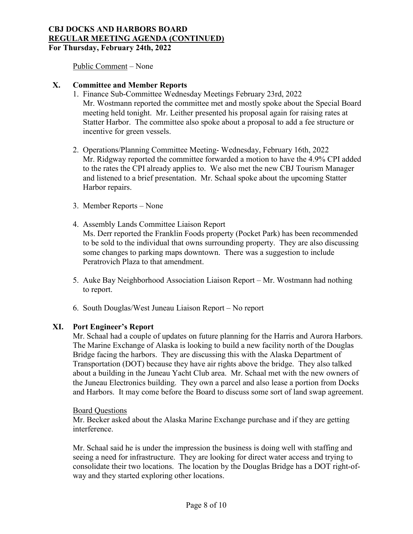Public Comment – None

## **X. Committee and Member Reports**

- 1. Finance Sub-Committee Wednesday Meetings February 23rd, 2022 Mr. Wostmann reported the committee met and mostly spoke about the Special Board meeting held tonight. Mr. Leither presented his proposal again for raising rates at Statter Harbor. The committee also spoke about a proposal to add a fee structure or incentive for green vessels.
- 2. Operations/Planning Committee Meeting- Wednesday, February 16th, 2022 Mr. Ridgway reported the committee forwarded a motion to have the 4.9% CPI added to the rates the CPI already applies to. We also met the new CBJ Tourism Manager and listened to a brief presentation. Mr. Schaal spoke about the upcoming Statter Harbor repairs.
- 3. Member Reports None
- 4. Assembly Lands Committee Liaison Report Ms. Derr reported the Franklin Foods property (Pocket Park) has been recommended to be sold to the individual that owns surrounding property. They are also discussing some changes to parking maps downtown. There was a suggestion to include Peratrovich Plaza to that amendment.
- 5. Auke Bay Neighborhood Association Liaison Report Mr. Wostmann had nothing to report.
- 6. South Douglas/West Juneau Liaison Report No report

## **XI. Port Engineer's Report**

Mr. Schaal had a couple of updates on future planning for the Harris and Aurora Harbors. The Marine Exchange of Alaska is looking to build a new facility north of the Douglas Bridge facing the harbors. They are discussing this with the Alaska Department of Transportation (DOT) because they have air rights above the bridge. They also talked about a building in the Juneau Yacht Club area. Mr. Schaal met with the new owners of the Juneau Electronics building. They own a parcel and also lease a portion from Docks and Harbors. It may come before the Board to discuss some sort of land swap agreement.

## Board Questions

Mr. Becker asked about the Alaska Marine Exchange purchase and if they are getting interference.

Mr. Schaal said he is under the impression the business is doing well with staffing and seeing a need for infrastructure. They are looking for direct water access and trying to consolidate their two locations. The location by the Douglas Bridge has a DOT right-ofway and they started exploring other locations.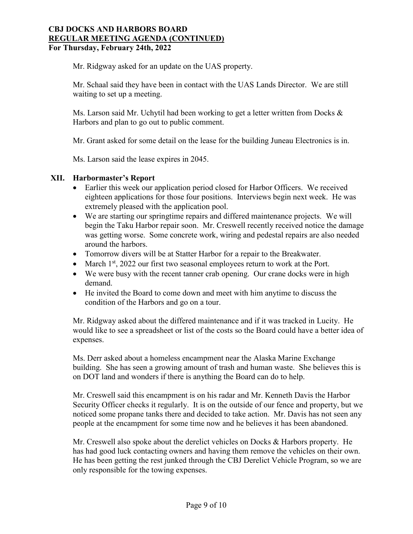Mr. Ridgway asked for an update on the UAS property.

Mr. Schaal said they have been in contact with the UAS Lands Director. We are still waiting to set up a meeting.

Ms. Larson said Mr. Uchytil had been working to get a letter written from Docks & Harbors and plan to go out to public comment.

Mr. Grant asked for some detail on the lease for the building Juneau Electronics is in.

Ms. Larson said the lease expires in 2045.

## **XII. Harbormaster's Report**

- Earlier this week our application period closed for Harbor Officers. We received eighteen applications for those four positions. Interviews begin next week. He was extremely pleased with the application pool.
- We are starting our springtime repairs and differed maintenance projects. We will begin the Taku Harbor repair soon. Mr. Creswell recently received notice the damage was getting worse. Some concrete work, wiring and pedestal repairs are also needed around the harbors.
- Tomorrow divers will be at Statter Harbor for a repair to the Breakwater.
- March  $1<sup>st</sup>$ , 2022 our first two seasonal employees return to work at the Port.
- We were busy with the recent tanner crab opening. Our crane docks were in high demand.
- He invited the Board to come down and meet with him anytime to discuss the condition of the Harbors and go on a tour.

Mr. Ridgway asked about the differed maintenance and if it was tracked in Lucity. He would like to see a spreadsheet or list of the costs so the Board could have a better idea of expenses.

Ms. Derr asked about a homeless encampment near the Alaska Marine Exchange building. She has seen a growing amount of trash and human waste. She believes this is on DOT land and wonders if there is anything the Board can do to help.

Mr. Creswell said this encampment is on his radar and Mr. Kenneth Davis the Harbor Security Officer checks it regularly. It is on the outside of our fence and property, but we noticed some propane tanks there and decided to take action. Mr. Davis has not seen any people at the encampment for some time now and he believes it has been abandoned.

Mr. Creswell also spoke about the derelict vehicles on Docks & Harbors property. He has had good luck contacting owners and having them remove the vehicles on their own. He has been getting the rest junked through the CBJ Derelict Vehicle Program, so we are only responsible for the towing expenses.